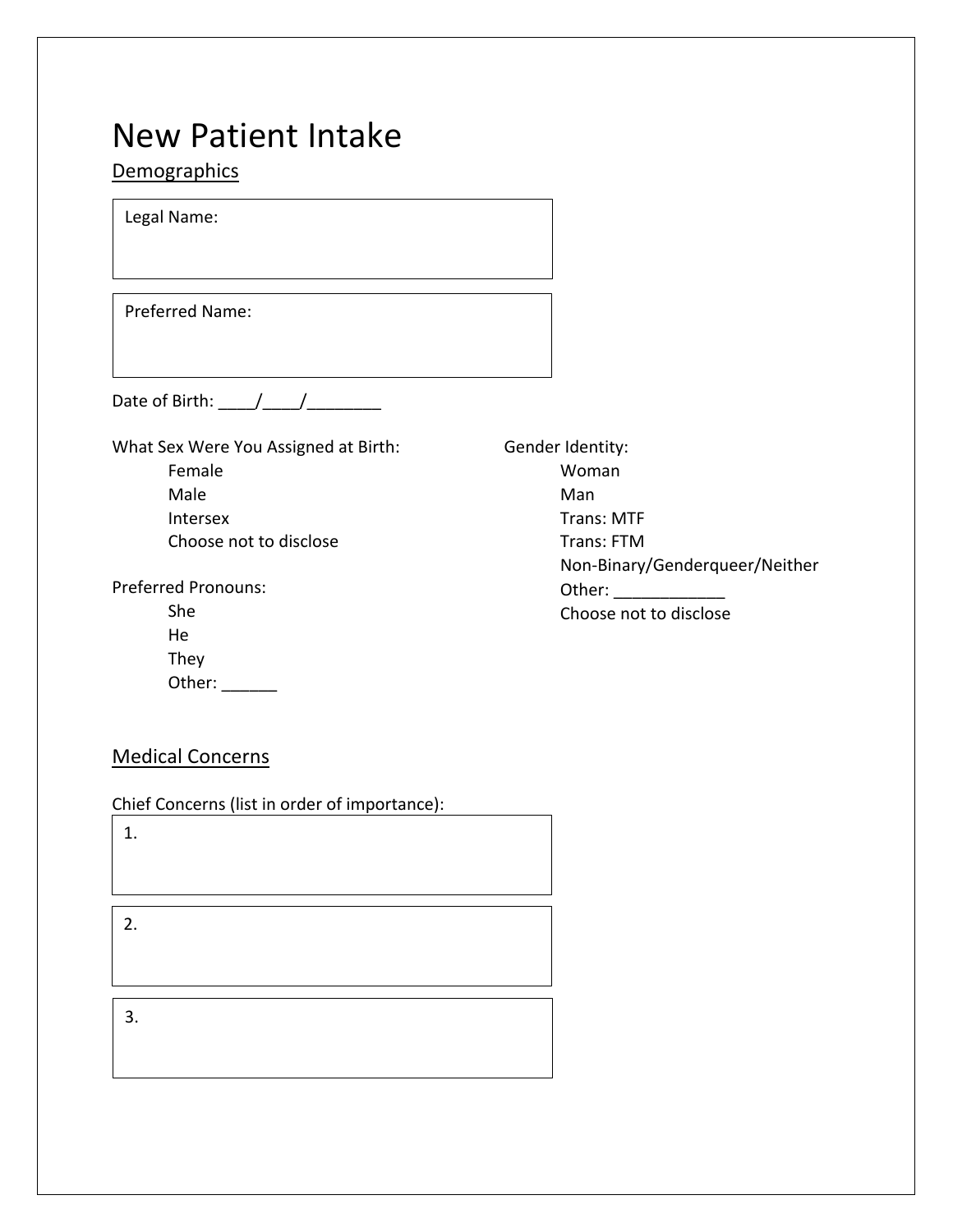# **Demographics**

Legal Name:

Preferred Name:

Date of Birth:  $\frac{1}{2}$   $\frac{1}{2}$   $\frac{1}{2}$   $\frac{1}{2}$   $\frac{1}{2}$   $\frac{1}{2}$   $\frac{1}{2}$   $\frac{1}{2}$   $\frac{1}{2}$   $\frac{1}{2}$   $\frac{1}{2}$   $\frac{1}{2}$   $\frac{1}{2}$   $\frac{1}{2}$   $\frac{1}{2}$   $\frac{1}{2}$   $\frac{1}{2}$   $\frac{1}{2}$   $\frac{1}{2}$   $\frac{1}{2}$   $\frac{1}{$ 

What Sex Were You Assigned at Birth: Female Male Intersex Choose not to disclose

Preferred Pronouns:

| She    |  |
|--------|--|
| He     |  |
| They   |  |
| Other: |  |

Gender Identity: Woman Man Trans: MTF Trans: FTM Non-Binary/Genderqueer/Neither Other: Choose not to disclose

# Medical Concerns

Chief Concerns (list in order of importance):

1.

2.

3.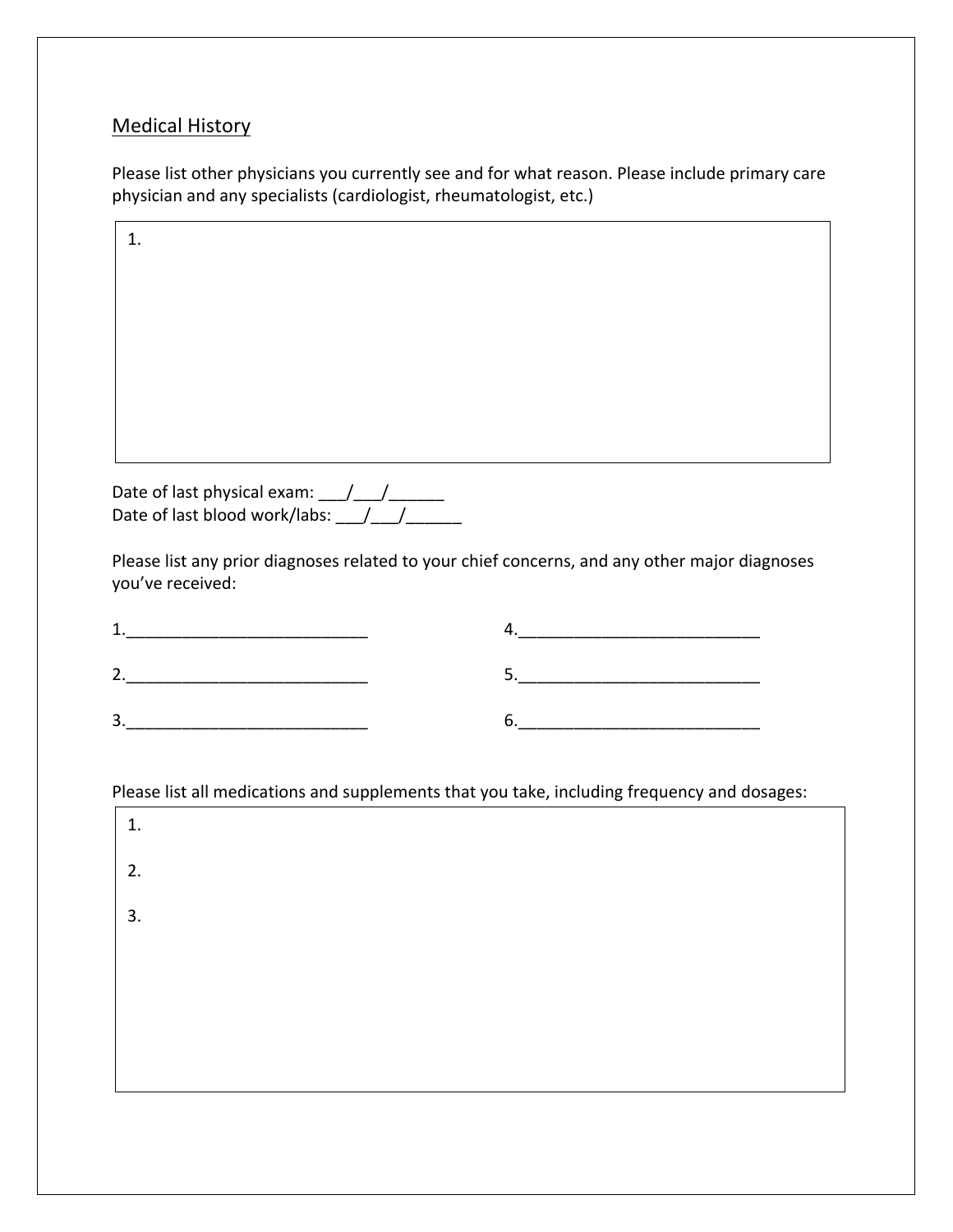## Medical History

Please list other physicians you currently see and for what reason. Please include primary care physician and any specialists (cardiologist, rheumatologist, etc.)

| 1.                                                                                                                                                                                                                                                                                                                                                                                                                                                                               |                                                                                                                                                                                                                                                                                                                                                                                                                                                                                                     |
|----------------------------------------------------------------------------------------------------------------------------------------------------------------------------------------------------------------------------------------------------------------------------------------------------------------------------------------------------------------------------------------------------------------------------------------------------------------------------------|-----------------------------------------------------------------------------------------------------------------------------------------------------------------------------------------------------------------------------------------------------------------------------------------------------------------------------------------------------------------------------------------------------------------------------------------------------------------------------------------------------|
|                                                                                                                                                                                                                                                                                                                                                                                                                                                                                  |                                                                                                                                                                                                                                                                                                                                                                                                                                                                                                     |
|                                                                                                                                                                                                                                                                                                                                                                                                                                                                                  |                                                                                                                                                                                                                                                                                                                                                                                                                                                                                                     |
|                                                                                                                                                                                                                                                                                                                                                                                                                                                                                  |                                                                                                                                                                                                                                                                                                                                                                                                                                                                                                     |
|                                                                                                                                                                                                                                                                                                                                                                                                                                                                                  |                                                                                                                                                                                                                                                                                                                                                                                                                                                                                                     |
|                                                                                                                                                                                                                                                                                                                                                                                                                                                                                  |                                                                                                                                                                                                                                                                                                                                                                                                                                                                                                     |
|                                                                                                                                                                                                                                                                                                                                                                                                                                                                                  |                                                                                                                                                                                                                                                                                                                                                                                                                                                                                                     |
|                                                                                                                                                                                                                                                                                                                                                                                                                                                                                  |                                                                                                                                                                                                                                                                                                                                                                                                                                                                                                     |
| you've received:                                                                                                                                                                                                                                                                                                                                                                                                                                                                 | Please list any prior diagnoses related to your chief concerns, and any other major diagnoses                                                                                                                                                                                                                                                                                                                                                                                                       |
| $\begin{tabular}{c} 1. & \begin{tabular}{@{}c@{}} \multicolumn{3}{c}{} \multicolumn{3}{c}{} \multicolumn{3}{c}{} \multicolumn{3}{c}{} \multicolumn{3}{c}{} \multicolumn{3}{c}{} \multicolumn{3}{c}{} \multicolumn{3}{c}{} \multicolumn{3}{c}{} \multicolumn{3}{c}{} \multicolumn{3}{c}{} \multicolumn{3}{c}{} \multicolumn{3}{c}{} \multicolumn{3}{c}{} \multicolumn{3}{c}{} \multicolumn{3}{c}{} \multicolumn{3}{c}{} \multicolumn{3}{c}{} \multicolumn{3}{c}{} \multicolumn{3$ | $\begin{array}{c} \n4. \quad \textcolor{blue}{\textbf{12.12}} \quad \textcolor{blue}{\textbf{23.13}} \quad \textcolor{blue}{\textbf{24.13}} \quad \textcolor{blue}{\textbf{25.13}} \quad \textcolor{blue}{\textbf{26.13}} \quad \textcolor{blue}{\textbf{27.13}} \quad \textcolor{blue}{\textbf{28.13}} \quad \textcolor{blue}{\textbf{29.13}} \quad \textcolor{blue}{\textbf{21.13}} \quad \textcolor{blue}{\textbf{21.13}} \quad \textcolor{blue}{\textbf{21.13}} \quad \textcolor{blue}{\textbf$ |
|                                                                                                                                                                                                                                                                                                                                                                                                                                                                                  |                                                                                                                                                                                                                                                                                                                                                                                                                                                                                                     |
| $\begin{array}{c c c c c} \hline \rule{0pt}{8ex} & \rule{0pt}{8ex} \multicolumn{3}{8}{ \textbf{2.2}} & \multicolumn{3}{8}{ \textbf{2.3}} & \multicolumn{3}{8}{ \textbf{2.4}} & \multicolumn{3}{8}{ \textbf{2.5}} & \multicolumn{3}{8}{ \textbf{2.6}} & \multicolumn{3}{8}{ \textbf{2.6}} & \multicolumn{3}{8}{ \textbf{2.6}} & \multicolumn{3}{8}{ \textbf{2.6}} & \multicolumn{3}{8}{ \textbf{2.6}} & \multicolumn{3}{8}{ \textbf{2.6}} & \multic$                              | $6. \label{eq:6}$                                                                                                                                                                                                                                                                                                                                                                                                                                                                                   |
|                                                                                                                                                                                                                                                                                                                                                                                                                                                                                  |                                                                                                                                                                                                                                                                                                                                                                                                                                                                                                     |
|                                                                                                                                                                                                                                                                                                                                                                                                                                                                                  | Please list all medications and supplements that you take, including frequency and dosages:                                                                                                                                                                                                                                                                                                                                                                                                         |
| 1.                                                                                                                                                                                                                                                                                                                                                                                                                                                                               |                                                                                                                                                                                                                                                                                                                                                                                                                                                                                                     |
| 2.                                                                                                                                                                                                                                                                                                                                                                                                                                                                               |                                                                                                                                                                                                                                                                                                                                                                                                                                                                                                     |
| 3.                                                                                                                                                                                                                                                                                                                                                                                                                                                                               |                                                                                                                                                                                                                                                                                                                                                                                                                                                                                                     |
|                                                                                                                                                                                                                                                                                                                                                                                                                                                                                  |                                                                                                                                                                                                                                                                                                                                                                                                                                                                                                     |
|                                                                                                                                                                                                                                                                                                                                                                                                                                                                                  |                                                                                                                                                                                                                                                                                                                                                                                                                                                                                                     |
|                                                                                                                                                                                                                                                                                                                                                                                                                                                                                  |                                                                                                                                                                                                                                                                                                                                                                                                                                                                                                     |
|                                                                                                                                                                                                                                                                                                                                                                                                                                                                                  |                                                                                                                                                                                                                                                                                                                                                                                                                                                                                                     |
|                                                                                                                                                                                                                                                                                                                                                                                                                                                                                  |                                                                                                                                                                                                                                                                                                                                                                                                                                                                                                     |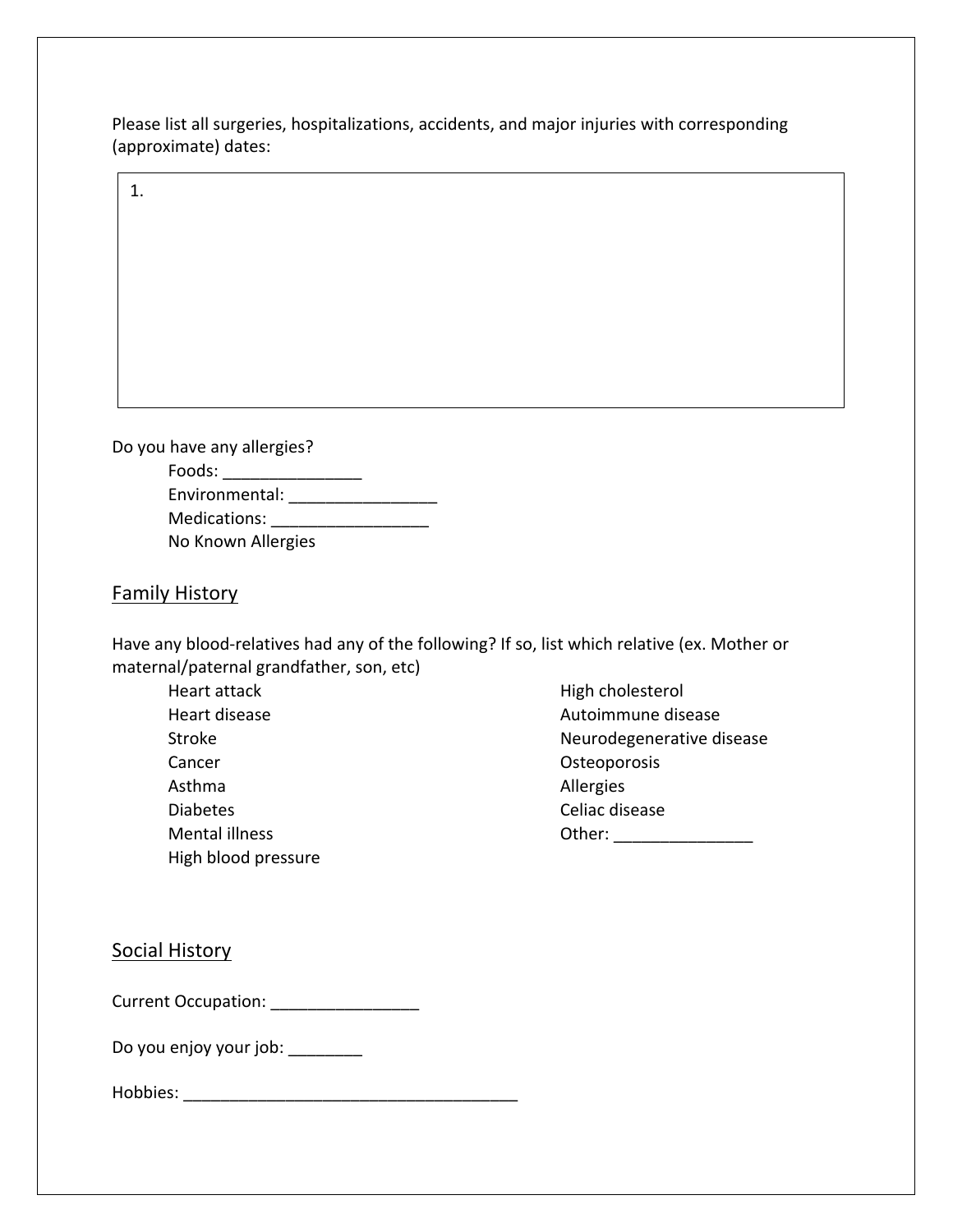Please list all surgeries, hospitalizations, accidents, and major injuries with corresponding (approximate) dates:

1.

Do you have any allergies? Foods: \_\_\_\_\_\_\_\_\_\_\_\_\_\_\_

| Environmental:     |  |
|--------------------|--|
| Medications:       |  |
| No Known Allergies |  |

## Family History

Have any blood-relatives had any of the following? If so, list which relative (ex. Mother or maternal/paternal grandfather, son, etc)

 Heart attack Heart disease Stroke Cancer Asthma Diabetes Mental illness High blood pressure  High cholesterol Autoimmune disease Neurodegenerative disease Osteoporosis Allergies Celiac disease Other: \_\_\_\_\_\_\_\_\_\_\_\_\_\_\_\_\_\_\_\_\_\_

Social History

Current Occupation: \_\_\_\_\_\_\_\_\_\_\_\_\_\_\_\_

Do you enjoy your job: \_\_\_\_\_\_\_\_

Hobbies: \_\_\_\_\_\_\_\_\_\_\_\_\_\_\_\_\_\_\_\_\_\_\_\_\_\_\_\_\_\_\_\_\_\_\_\_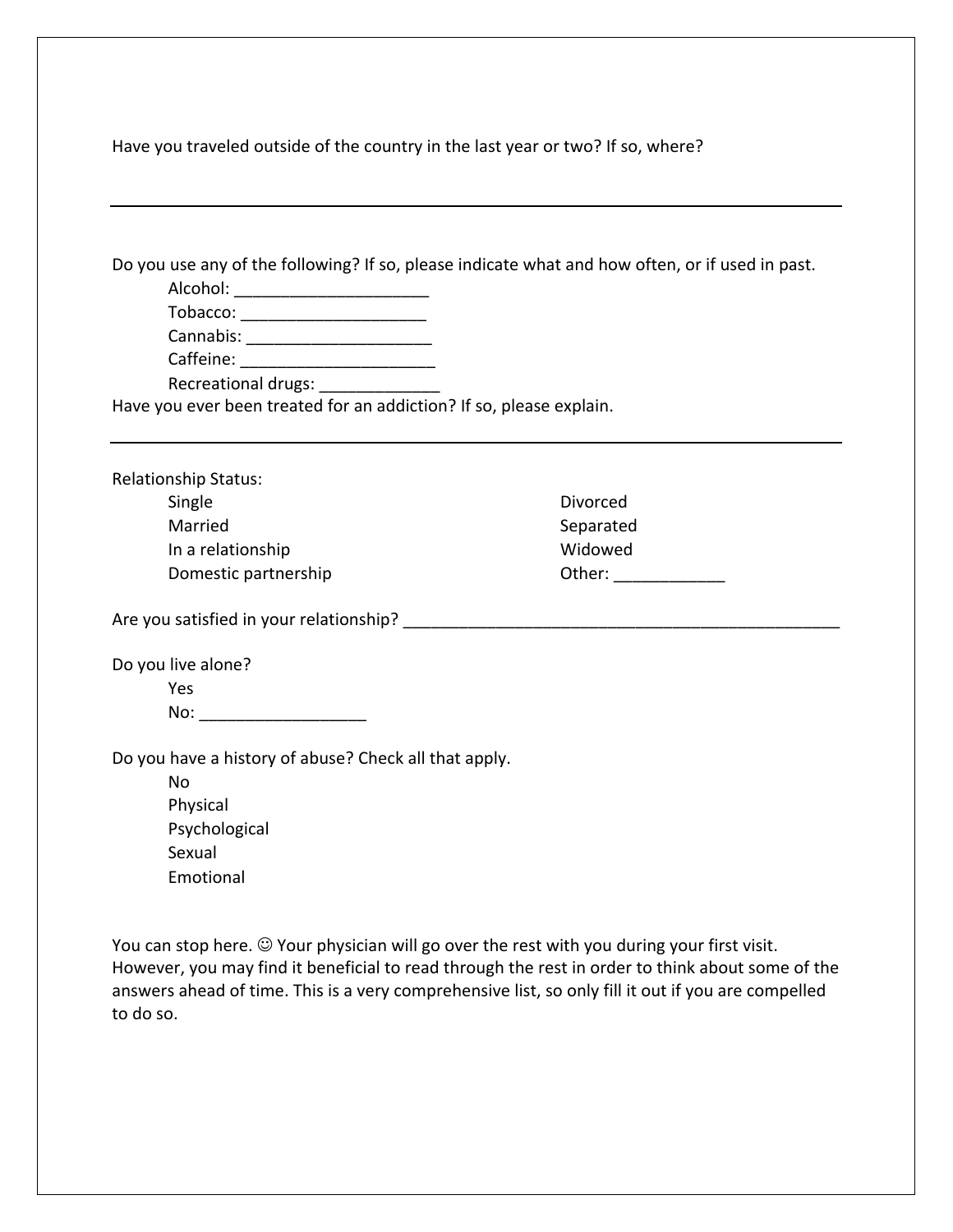Have you traveled outside of the country in the last year or two? If so, where?

|                                                                                                                                                                                                        | Do you use any of the following? If so, please indicate what and how often, or if used in past. |  |
|--------------------------------------------------------------------------------------------------------------------------------------------------------------------------------------------------------|-------------------------------------------------------------------------------------------------|--|
| Alcohol: _______________________                                                                                                                                                                       |                                                                                                 |  |
| Tobacco: _______________________                                                                                                                                                                       |                                                                                                 |  |
| Cannabis: _________________________                                                                                                                                                                    |                                                                                                 |  |
| Caffeine: _________________________                                                                                                                                                                    |                                                                                                 |  |
| Recreational drugs:                                                                                                                                                                                    |                                                                                                 |  |
| Have you ever been treated for an addiction? If so, please explain.                                                                                                                                    |                                                                                                 |  |
|                                                                                                                                                                                                        |                                                                                                 |  |
| <b>Relationship Status:</b>                                                                                                                                                                            |                                                                                                 |  |
| Single                                                                                                                                                                                                 | Divorced                                                                                        |  |
| Married                                                                                                                                                                                                | Separated                                                                                       |  |
| In a relationship                                                                                                                                                                                      | Widowed                                                                                         |  |
| Domestic partnership                                                                                                                                                                                   |                                                                                                 |  |
|                                                                                                                                                                                                        |                                                                                                 |  |
| Are you satisfied in your relationship?                                                                                                                                                                |                                                                                                 |  |
| Do you live alone?                                                                                                                                                                                     |                                                                                                 |  |
| Yes                                                                                                                                                                                                    |                                                                                                 |  |
| No: _________________________                                                                                                                                                                          |                                                                                                 |  |
|                                                                                                                                                                                                        |                                                                                                 |  |
| Do you have a history of abuse? Check all that apply.                                                                                                                                                  |                                                                                                 |  |
| No                                                                                                                                                                                                     |                                                                                                 |  |
| Physical                                                                                                                                                                                               |                                                                                                 |  |
| Psychological                                                                                                                                                                                          |                                                                                                 |  |
| Sexual                                                                                                                                                                                                 |                                                                                                 |  |
| Emotional                                                                                                                                                                                              |                                                                                                 |  |
|                                                                                                                                                                                                        |                                                                                                 |  |
|                                                                                                                                                                                                        |                                                                                                 |  |
| You can stop here. $\odot$ Your physician will go over the rest with you during your first visit.                                                                                                      |                                                                                                 |  |
| However, you may find it beneficial to read through the rest in order to think about some of the<br>answers ahead of time. This is a very comprehensive list, so only fill it out if you are compelled |                                                                                                 |  |
| to do so.                                                                                                                                                                                              |                                                                                                 |  |
|                                                                                                                                                                                                        |                                                                                                 |  |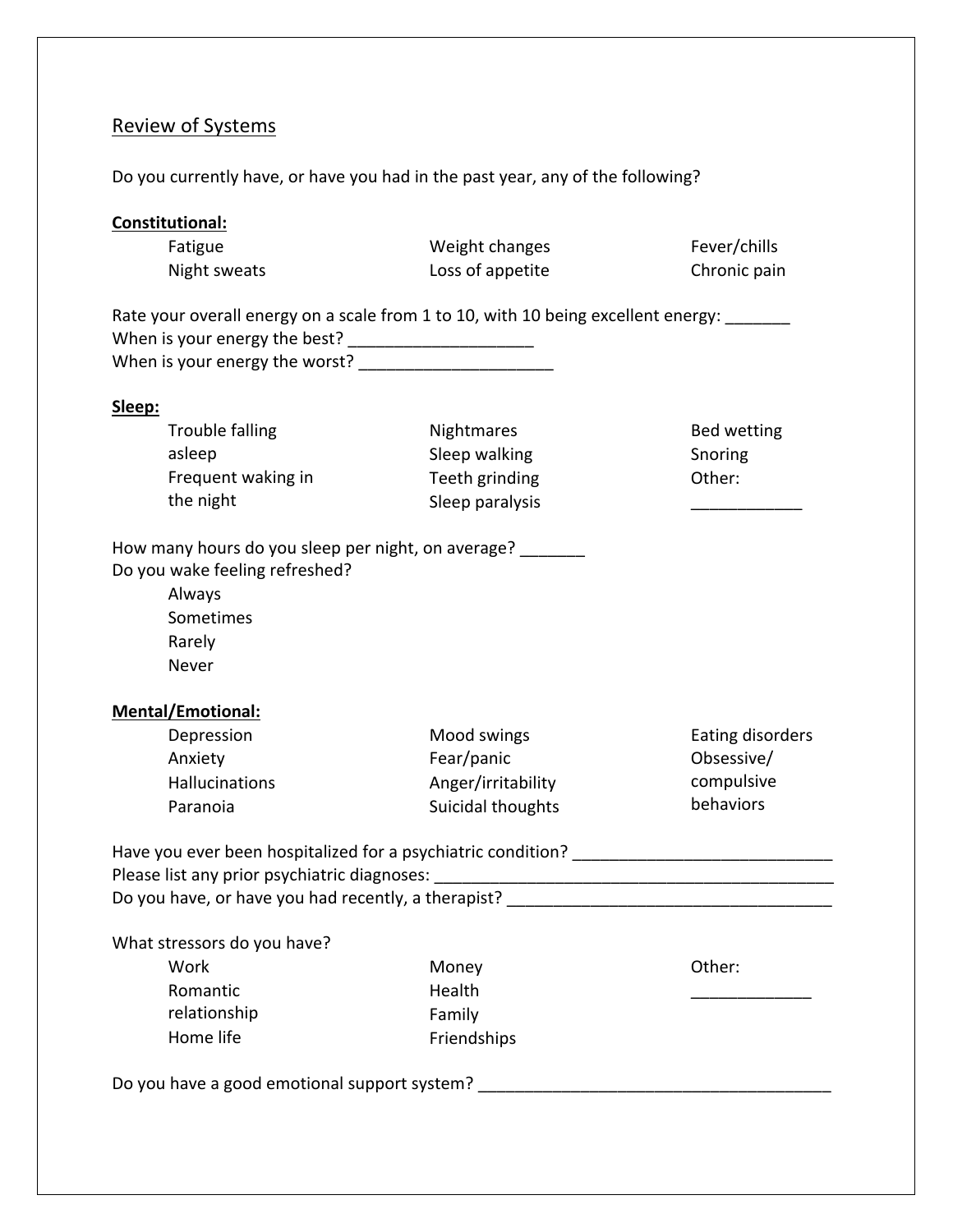# Review of Systems

Do you currently have, or have you had in the past year, any of the following?

| <b>Constitutional:</b>                                                                                                                                                                                                |                    |                  |
|-----------------------------------------------------------------------------------------------------------------------------------------------------------------------------------------------------------------------|--------------------|------------------|
| Fatigue                                                                                                                                                                                                               | Weight changes     | Fever/chills     |
| Night sweats                                                                                                                                                                                                          | Loss of appetite   | Chronic pain     |
| Rate your overall energy on a scale from 1 to 10, with 10 being excellent energy: ______                                                                                                                              |                    |                  |
| Sleep:                                                                                                                                                                                                                |                    |                  |
| Trouble falling                                                                                                                                                                                                       | Nightmares         | Bed wetting      |
| asleep                                                                                                                                                                                                                | Sleep walking      | Snoring          |
| Frequent waking in                                                                                                                                                                                                    | Teeth grinding     | Other:           |
| the night                                                                                                                                                                                                             | Sleep paralysis    |                  |
| How many hours do you sleep per night, on average?<br>Do you wake feeling refreshed?<br>Always<br>Sometimes<br>Rarely<br>Never                                                                                        |                    |                  |
| <b>Mental/Emotional:</b>                                                                                                                                                                                              |                    |                  |
| Depression                                                                                                                                                                                                            | Mood swings        | Eating disorders |
| Anxiety                                                                                                                                                                                                               | Fear/panic         | Obsessive/       |
| <b>Hallucinations</b>                                                                                                                                                                                                 | Anger/irritability | compulsive       |
| Paranoia                                                                                                                                                                                                              | Suicidal thoughts  | behaviors        |
| Have you ever been hospitalized for a psychiatric condition?<br>Please list any prior psychiatric diagnoses: [11] Please list any prior psychiatric diagnoses:<br>Do you have, or have you had recently, a therapist? |                    |                  |
| What stressors do you have?                                                                                                                                                                                           |                    |                  |
| Work                                                                                                                                                                                                                  | Money              | Other:           |
| Romantic                                                                                                                                                                                                              | Health             |                  |
| relationship                                                                                                                                                                                                          | Family             |                  |
| Home life                                                                                                                                                                                                             | Friendships        |                  |
| Do you have a good emotional support system?                                                                                                                                                                          |                    |                  |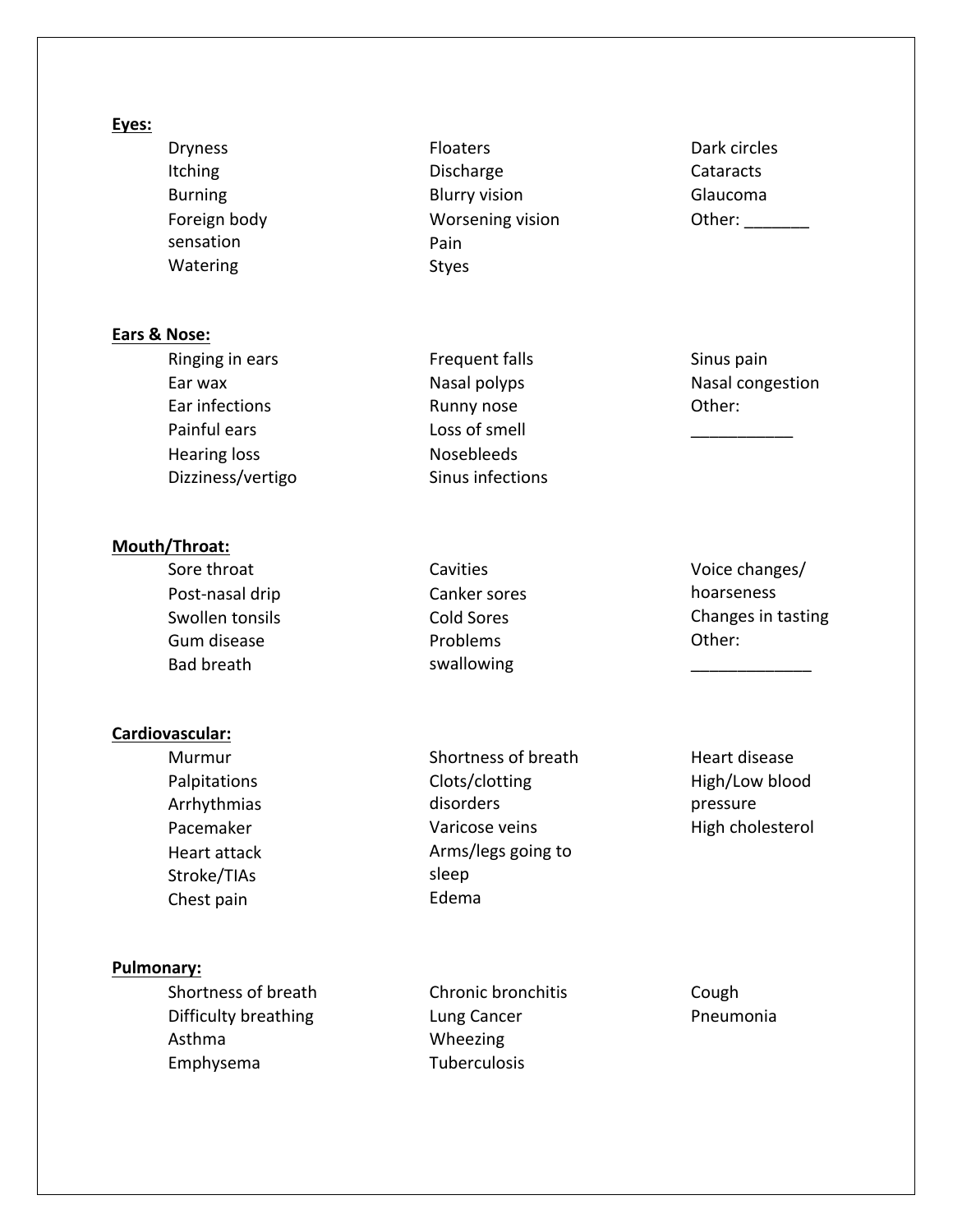#### **Eyes:**

 Dryness Itching Burning Foreign body sensation Watering

## **Ears & Nose:**

 Ringing in ears Ear wax Ear infections Painful ears Hearing loss Dizziness/vertigo

#### **Mouth/Throat:**

 Sore throat Post-nasal drip Swollen tonsils Gum disease Bad breath Cavities Canker sores Cold Sores Problems swallowing  $\overline{\phantom{a}}$  , where  $\overline{\phantom{a}}$ 

 Floaters Discharge Blurry vision Worsening vision

 Pain Styes

 Frequent falls Nasal polyps Runny nose Loss of smell Nosebleeds Sinus infections

#### **Cardiovascular:**

 Murmur Palpitations Arrhythmias Pacemaker Heart attack Stroke/TIAs Chest pain Shortness of breath Clots/clotting disorders Varicose veins Arms/legs going to sleep Edema

#### **Pulmonary:**

 Shortness of breath Difficulty breathing Asthma Emphysema

 Chronic bronchitis Lung Cancer Wheezing **Tuberculosis** 

 Cough Pneumonia

 Dark circles **Cataracts**  Glaucoma Other:

 Sinus pain Nasal congestion Other:

 $\overline{\phantom{a}}$ 

 Voice changes/ hoarseness Changes in tasting Other:

 Heart disease High/Low blood pressure High cholesterol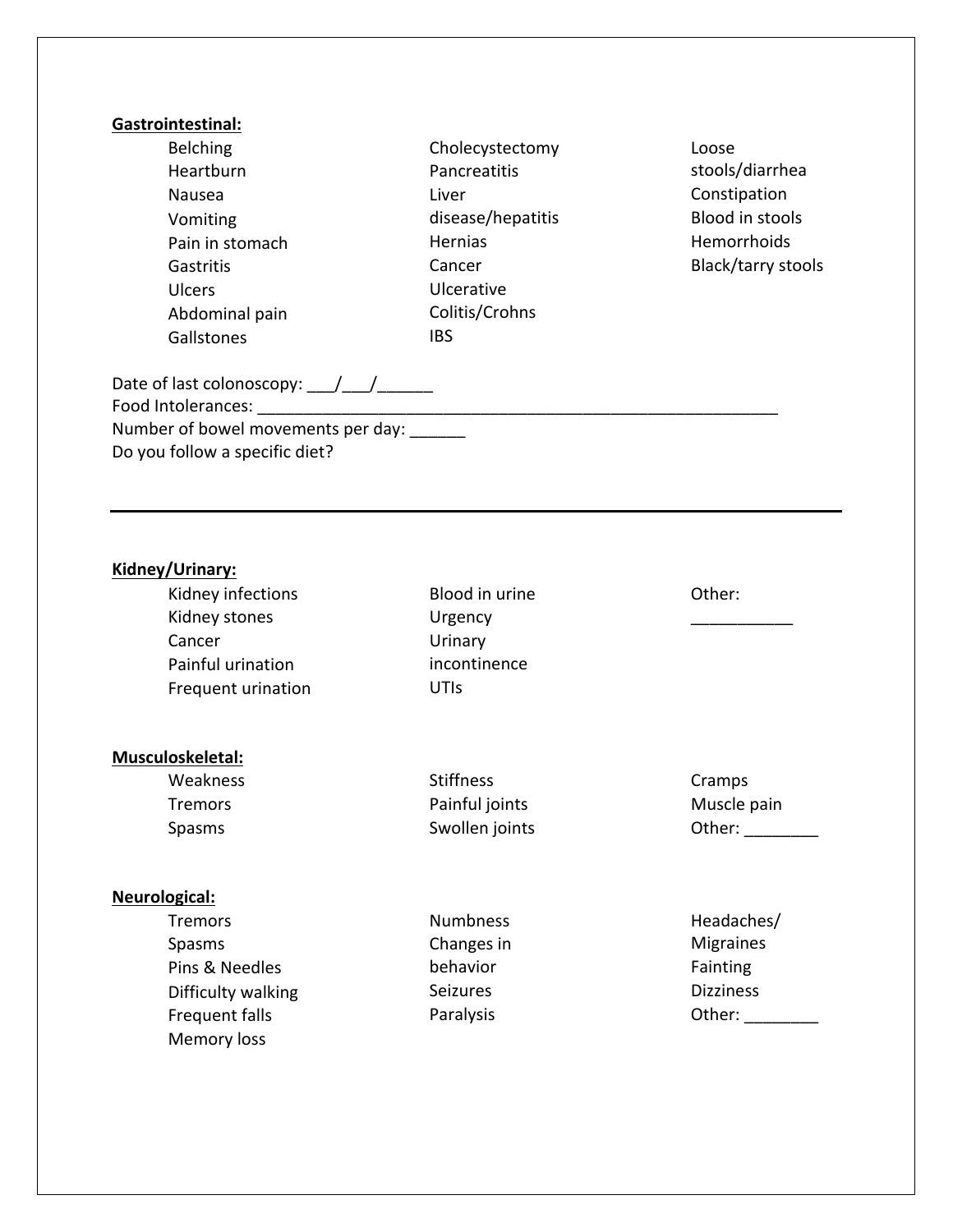### **Gastrointestinal:**

- Belching Heartburn Nausea Vomiting Pain in stomach Gastritis Ulcers Abdominal pain **Gallstones**
- Cholecystectomy Pancreatitis Liver disease/hepatitis Hernias Cancer Ulcerative Colitis/Crohns IBS
- Loose stools/diarrhea Constipation Blood in stools Hemorrhoids Black/tarry stools

Date of last colonoscopy:  $\frac{1}{2}$ Food Intolerances: \_\_\_\_\_\_\_\_\_\_\_\_\_\_\_\_\_\_\_\_\_\_\_\_\_\_\_\_\_\_\_\_\_\_\_\_\_\_\_\_\_\_\_\_\_\_\_\_\_\_\_\_\_\_\_\_ Number of bowel movements per day: Do you follow a specific diet?

#### **Kidney/Urinary:**

 Kidney infections Kidney stones Cancer Painful urination Frequent urination Blood in urine Urgency Urinary incontinence UTIs Other:  $\overline{\phantom{a}}$ 

## **Musculoskeletal:**

| Weakness | <b>Stiffness</b> | Cramps      |
|----------|------------------|-------------|
| Tremors  | Painful joints   | Muscle pain |
| Spasms   | Swollen joints   | Other:      |

#### **Neurological:**

| <b>Tremors</b>     | <b>Numbness</b> | Headaches/       |
|--------------------|-----------------|------------------|
| <b>Spasms</b>      | Changes in      | <b>Migraines</b> |
| Pins & Needles     | behavior        | Fainting         |
| Difficulty walking | <b>Seizures</b> | <b>Dizziness</b> |
| Frequent falls     | Paralysis       | Other:           |
| <b>Memory loss</b> |                 |                  |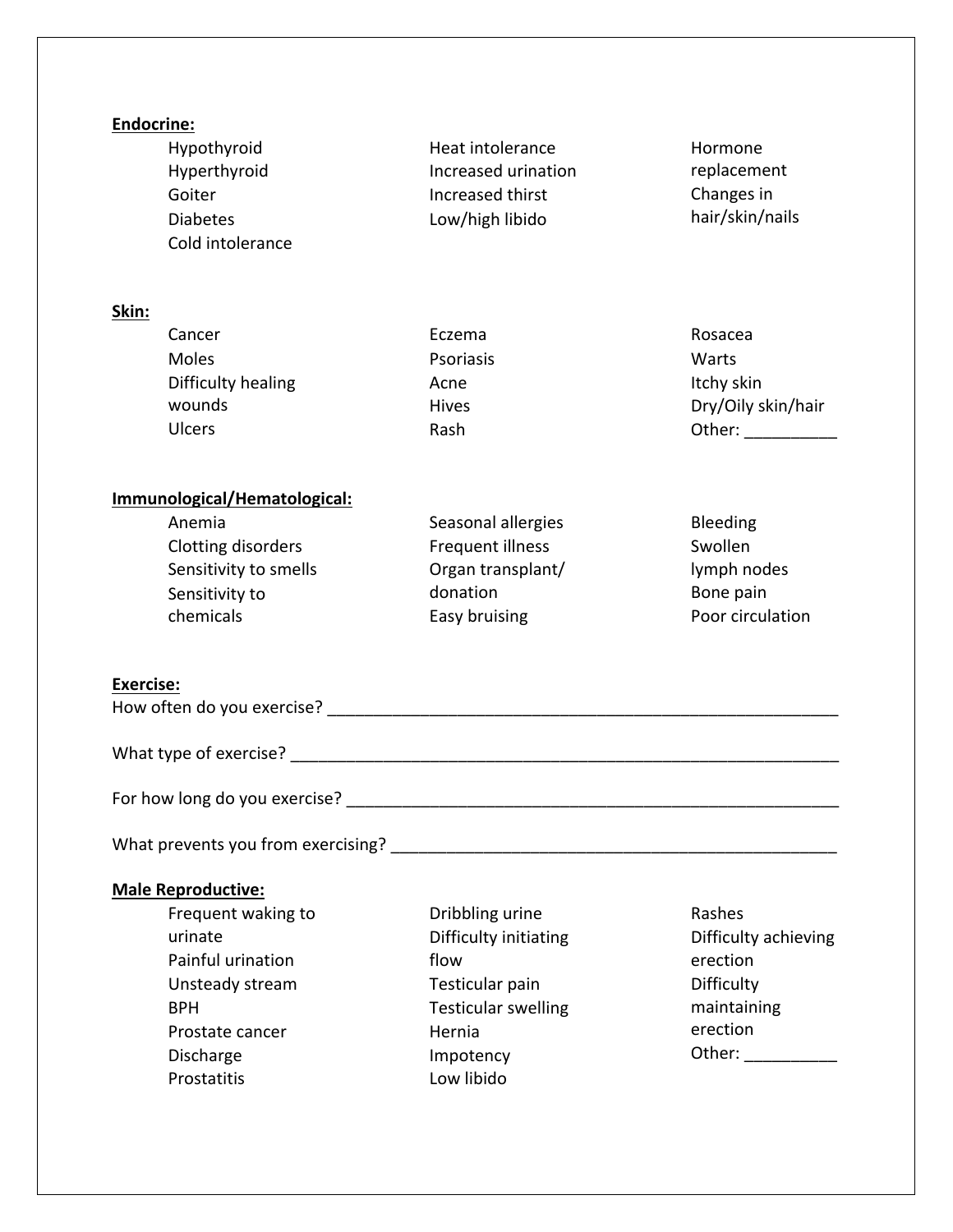| <b>Endocrine:</b><br>Hypothyroid<br>Hyperthyroid<br>Goiter<br><b>Diabetes</b><br>Cold intolerance                                                               | Heat intolerance<br>Increased urination<br>Increased thirst<br>Low/high libido                                                         | Hormone<br>replacement<br>Changes in<br>hair/skin/nails                             |
|-----------------------------------------------------------------------------------------------------------------------------------------------------------------|----------------------------------------------------------------------------------------------------------------------------------------|-------------------------------------------------------------------------------------|
| Skin:                                                                                                                                                           |                                                                                                                                        |                                                                                     |
| Cancer<br>Moles<br>Difficulty healing<br>wounds<br><b>Ulcers</b>                                                                                                | Eczema<br>Psoriasis<br>Acne<br><b>Hives</b><br>Rash                                                                                    | Rosacea<br>Warts<br>Itchy skin<br>Dry/Oily skin/hair<br>Other: _______              |
| Immunological/Hematological:<br>Anemia<br>Clotting disorders<br>Sensitivity to smells<br>Sensitivity to<br>chemicals                                            | Seasonal allergies<br>Frequent illness<br>Organ transplant/<br>donation<br>Easy bruising                                               | Bleeding<br>Swollen<br>lymph nodes<br>Bone pain<br>Poor circulation                 |
| <b>Exercise:</b>                                                                                                                                                |                                                                                                                                        |                                                                                     |
|                                                                                                                                                                 |                                                                                                                                        |                                                                                     |
|                                                                                                                                                                 |                                                                                                                                        |                                                                                     |
|                                                                                                                                                                 |                                                                                                                                        |                                                                                     |
| <b>Male Reproductive:</b><br>Frequent waking to<br>urinate<br>Painful urination<br>Unsteady stream<br><b>BPH</b><br>Prostate cancer<br>Discharge<br>Prostatitis | Dribbling urine<br>Difficulty initiating<br>flow<br>Testicular pain<br><b>Testicular swelling</b><br>Hernia<br>Impotency<br>Low libido | Rashes<br>Difficulty achieving<br>erection<br>Difficulty<br>maintaining<br>erection |